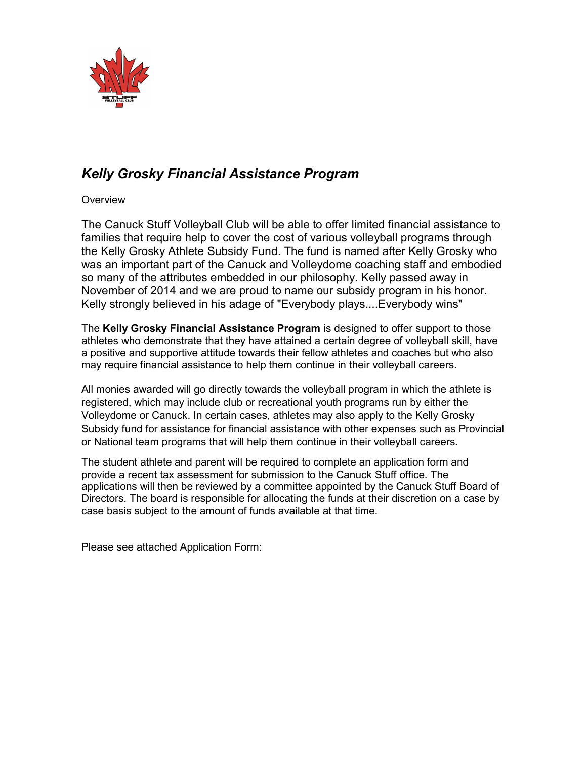

## Kelly Grosky Financial Assistance Program

## **Overview**

The Canuck Stuff Volleyball Club will be able to offer limited financial assistance to families that require help to cover the cost of various volleyball programs through the Kelly Grosky Athlete Subsidy Fund. The fund is named after Kelly Grosky who was an important part of the Canuck and Volleydome coaching staff and embodied so many of the attributes embedded in our philosophy. Kelly passed away in November of 2014 and we are proud to name our subsidy program in his honor. Kelly strongly believed in his adage of "Everybody plays....Everybody wins"

The Kelly Grosky Financial Assistance Program is designed to offer support to those athletes who demonstrate that they have attained a certain degree of volleyball skill, have a positive and supportive attitude towards their fellow athletes and coaches but who also may require financial assistance to help them continue in their volleyball careers.

All monies awarded will go directly towards the volleyball program in which the athlete is registered, which may include club or recreational youth programs run by either the Volleydome or Canuck. In certain cases, athletes may also apply to the Kelly Grosky Subsidy fund for assistance for financial assistance with other expenses such as Provincial or National team programs that will help them continue in their volleyball careers.

The student athlete and parent will be required to complete an application form and provide a recent tax assessment for submission to the Canuck Stuff office. The applications will then be reviewed by a committee appointed by the Canuck Stuff Board of Directors. The board is responsible for allocating the funds at their discretion on a case by case basis subject to the amount of funds available at that time.

Please see attached Application Form: